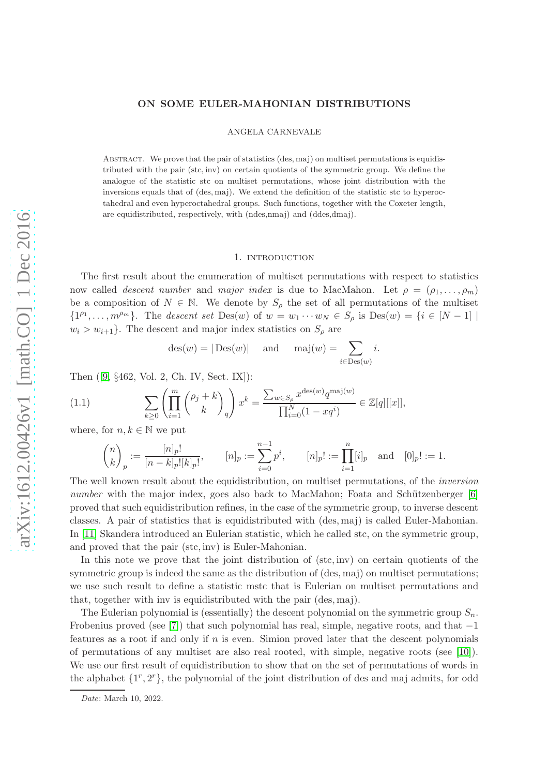# ON SOME EULER-MAHONIAN DISTRIBUTIONS

ANGELA CARNEVALE

Abstract. We prove that the pair of statistics (des, maj) on multiset permutations is equidistributed with the pair (stc, inv) on certain quotients of the symmetric group. We define the analogue of the statistic stc on multiset permutations, whose joint distribution with the inversions equals that of (des, maj). We extend the definition of the statistic stc to hyperoctahedral and even hyperoctahedral groups. Such functions, together with the Coxeter length, are equidistributed, respectively, with (ndes,nmaj) and (ddes,dmaj).

### 1. introduction

The first result about the enumeration of multiset permutations with respect to statistics now called *descent number* and *major index* is due to MacMahon. Let  $\rho = (\rho_1, \ldots, \rho_m)$ be a composition of  $N \in \mathbb{N}$ . We denote by  $S_{\rho}$  the set of all permutations of the multiset  $\{1^{\rho_1},\ldots,m^{\rho_m}\}\.$  The *descent set* Des $(w)$  of  $w=w_1\cdots w_N\in S_\rho$  is Des $(w)=\{i\in [N-1]\mid$  $w_i > w_{i+1}$ . The descent and major index statistics on  $S_\rho$  are

<span id="page-0-0"></span>
$$
des(w) = |\text{Des}(w)|
$$
 and  $maj(w) = \sum_{i \in \text{Des}(w)} i$ .

Then ([9, §462, Vol. 2, Ch. IV, Sect. IX]):

(1.1) 
$$
\sum_{k\geq 0} \left( \prod_{i=1}^{m} {b_j + k \choose k}_q \right) x^k = \frac{\sum_{w \in S_\rho} x^{\text{des}(w)} q^{\text{maj}(w)}}{\prod_{i=0}^N (1 - xq^i)} \in \mathbb{Z}[q][[x]],
$$

where, for  $n, k \in \mathbb{N}$  we put

$$
\binom{n}{k}_p := \frac{[n]_p!}{[n-k]_p![k]_p!}, \qquad [n]_p := \sum_{i=0}^{n-1} p^i, \qquad [n]_p! := \prod_{i=1}^n [i]_p \text{ and } [0]_p! := 1.
$$

The well known result about the equidistribution, on multiset permutations, of the *inversion number* with the major index, goes also back to MacMahon; Foata and Schützenberger [6] proved that such equidistribution refines, in the case of the symmetric group, to inverse descent classes. A pair of statistics that is equidistributed with (des, maj) is called Euler-Mahonian. In [11] Skandera introduced an Eulerian statistic, which he called stc, on the symmetric group, and proved that the pair (stc, inv) is Euler-Mahonian.

In this note we prove that the joint distribution of (stc, inv) on certain quotients of the symmetric group is indeed the same as the distribution of (des, maj) on multiset permutations; we use such result to define a statistic mstc that is Eulerian on multiset permutations and that, together with inv is equidistributed with the pair (des, maj).

The Eulerian polynomial is (essentially) the descent polynomial on the symmetric group  $S_n$ . Frobenius proved (see [7]) that such polynomial has real, simple, negative roots, and that  $-1$ features as a root if and only if  $n$  is even. Simion proved later that the descent polynomials of permutations of any multiset are also real rooted, with simple, negative roots (see [10]). We use our first result of equidistribution to show that on the set of permutations of words in the alphabet  $\{1^r, 2^r\}$ , the polynomial of the joint distribution of des and maj admits, for odd

Date: March 10, 2022.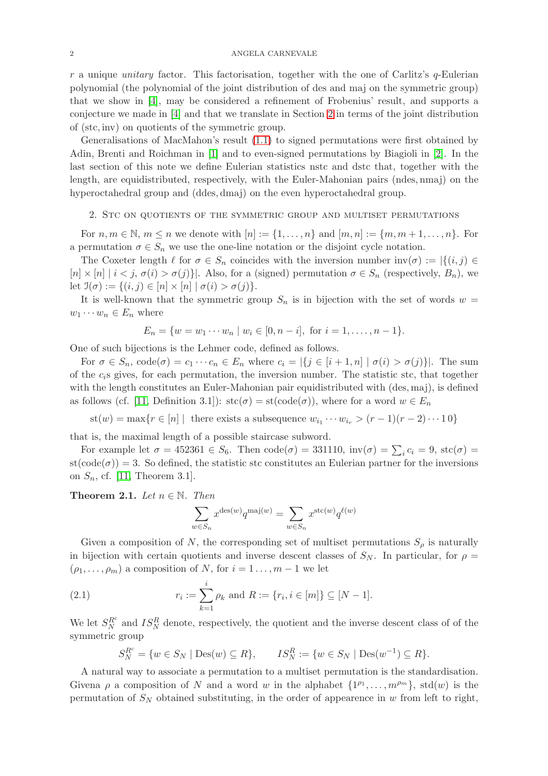$r$  a unique *unitary* factor. This factorisation, together with the one of Carlitz's  $q$ -Eulerian polynomial (the polynomial of the joint distribution of des and maj on the symmetric group) that we show in [4], may be considered a refinement of Frobenius' result, and supports a conjecture we made in [4] and that we translate in Section [2](#page-1-0) in terms of the joint distribution of (stc, inv) on quotients of the symmetric group.

Generalisations of MacMahon's result [\(1.1\)](#page-0-0) to signed permutations were first obtained by Adin, Brenti and Roichman in [1] and to even-signed permutations by Biagioli in [2]. In the last section of this note we define Eulerian statistics nstc and dstc that, together with the length, are equidistributed, respectively, with the Euler-Mahonian pairs (ndes, nmaj) on the hyperoctahedral group and (ddes, dmaj) on the even hyperoctahedral group.

#### <span id="page-1-0"></span>2. Stc on quotients of the symmetric group and multiset permutations

For  $n, m \in \mathbb{N}, m \leq n$  we denote with  $[n] := \{1, \ldots, n\}$  and  $[m, n] := \{m, m+1, \ldots, n\}$ . For a permutation  $\sigma \in S_n$  we use the one-line notation or the disjoint cycle notation.

The Coxeter length  $\ell$  for  $\sigma \in S_n$  coincides with the inversion number  $inv(\sigma) := |\{(i, j) \in$  $[n] \times [n] | i < j, \sigma(i) > \sigma(j)$ . Also, for a (signed) permutation  $\sigma \in S_n$  (respectively,  $B_n$ ), we let  $\mathfrak{I}(\sigma) := \{(i, j) \in [n] \times [n] \mid \sigma(i) > \sigma(j)\}.$ 

It is well-known that the symmetric group  $S_n$  is in bijection with the set of words  $w =$  $w_1 \cdots w_n \in E_n$  where

$$
E_n = \{w = w_1 \cdots w_n \mid w_i \in [0, n-i], \text{ for } i = 1, \ldots, n-1\}.
$$

One of such bijections is the Lehmer code, defined as follows.

For  $\sigma \in S_n$ ,  $code(\sigma) = c_1 \cdots c_n \in E_n$  where  $c_i = |\{j \in [i+1,n] \mid \sigma(i) > \sigma(j)\}|$ . The sum of the  $c_i$ s gives, for each permutation, the inversion number. The statistic stc, that together with the length constitutes an Euler-Mahonian pair equidistributed with (des, maj), is defined as follows (cf. [11, Definition 3.1]):  $\operatorname{stc}(\sigma) = \operatorname{st}(\operatorname{code}(\sigma))$ , where for a word  $w \in E_n$ 

 $\text{st}(w) = \max\{r \in [n] \mid \text{ there exists a subsequence } w_{i_1} \cdots w_{i_r} > (r-1)(r-2)\cdots 10\}$ 

that is, the maximal length of a possible staircase subword.

For example let  $\sigma = 452361 \in S_6$ . Then  $code(\sigma) = 331110$ ,  $inv(\sigma) = \sum_i c_i = 9$ ,  $stc(\sigma) =$  $st(code(\sigma)) = 3$ . So defined, the statistic stc constitutes an Eulerian partner for the inversions on  $S_n$ , cf. [11, Theorem 3.1].

**Theorem 2.1.** *Let*  $n \in \mathbb{N}$ *. Then* 

$$
\sum_{w \in S_n} x^{\text{des}(w)} q^{\text{maj}(w)} = \sum_{w \in S_n} x^{\text{stc}(w)} q^{\ell(w)}
$$

Given a composition of N, the corresponding set of multiset permutations  $S_\rho$  is naturally in bijection with certain quotients and inverse descent classes of  $S_N$ . In particular, for  $\rho =$  $(\rho_1, \ldots, \rho_m)$  a composition of N, for  $i = 1 \ldots, m - 1$  we let

(2.1) 
$$
r_i := \sum_{k=1}^i \rho_k \text{ and } R := \{r_i, i \in [m]\} \subseteq [N-1].
$$

We let  $S_N^{R^c}$  and  $IS_N^R$  denote, respectively, the quotient and the inverse descent class of of the symmetric group

<span id="page-1-1"></span>
$$
S_N^{R^c} = \{ w \in S_N \mid \text{Des}(w) \subseteq R \}, \qquad IS_N^R := \{ w \in S_N \mid \text{Des}(w^{-1}) \subseteq R \}.
$$

A natural way to associate a permutation to a multiset permutation is the standardisation. Givena  $\rho$  a composition of N and a word w in the alphabet  $\{1^{\rho_1}, \ldots, m^{\rho_m}\},$  std $(w)$  is the permutation of  $S_N$  obtained substituting, in the order of appearence in w from left to right,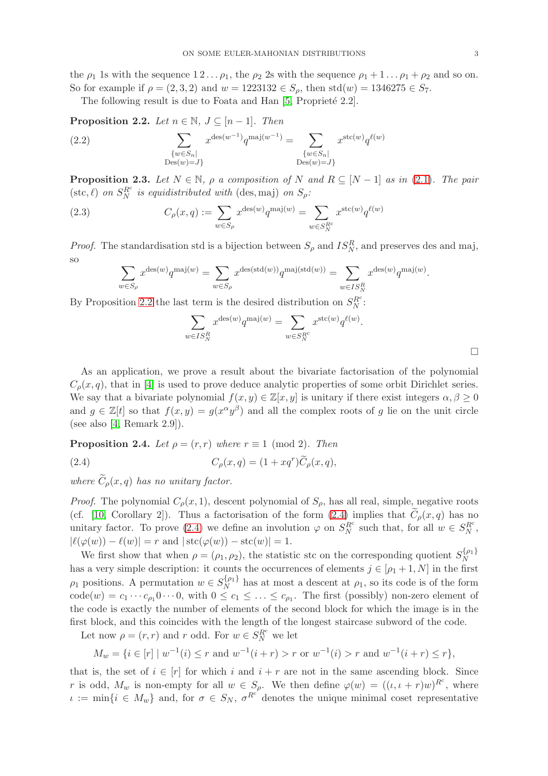the  $\rho_1$  1s with the sequence  $1 \, 2 \, \ldots \, \rho_1$ , the  $\rho_2$  2s with the sequence  $\rho_1 + 1 \, \ldots \, \rho_1 + \rho_2$  and so on. So for example if  $\rho = (2, 3, 2)$  and  $w = 1223132 \in S_\rho$ , then std $(w) = 1346275 \in S_7$ .

The following result is due to Foata and Han  $[5,$  Proprieté 2.2].

<span id="page-2-0"></span>**Proposition 2.2.** *Let*  $n \in \mathbb{N}$ ,  $J \subseteq [n-1]$ *. Then* 

(2.2) 
$$
\sum_{\substack{\{w \in S_n | \ \text{Des}(w) = J\} }} x^{\text{des}(w^{-1})} q^{\text{maj}(w^{-1})} = \sum_{\substack{\{w \in S_n | \ \text{Des}(w) = J\}}} x^{\text{stc}(w)} q^{\ell(w)}
$$

<span id="page-2-2"></span>**Proposition 2.3.** Let  $N \in \mathbb{N}$ ,  $\rho$  *a composition of* N *and*  $R \subseteq [N-1]$  *as in* [\(2.1\)](#page-1-1)*. The pair*  $(\text{stc}, \ell)$  *on*  $S_N^{R^c}$  *is equidistributed with* (des, maj) *on*  $S_\rho$ *:* 

(2.3) 
$$
C_{\rho}(x,q) := \sum_{w \in S_{\rho}} x^{\text{des}(w)} q^{\text{maj}(w)} = \sum_{w \in S_N^{R^c}} x^{\text{stc}(w)} q^{\ell(w)}
$$

*Proof.* The standardisation std is a bijection between  $S_\rho$  and  $IS_N^R$ , and preserves des and maj, so

$$
\sum_{w \in S_{\rho}} x^{\text{des}(w)} q^{\text{maj}(w)} = \sum_{w \in S_{\rho}} x^{\text{des}(\text{std}(w))} q^{\text{maj}(\text{std}(w))} = \sum_{w \in IS_N^R} x^{\text{des}(w)} q^{\text{maj}(w)}.
$$

By Proposition [2.2](#page-2-0) the last term is the desired distribution on  $S_N^{R^c}$ :

$$
\sum_{w \in IS_N^R} x^{\text{des}(w)} q^{\text{maj}(w)} = \sum_{w \in S_N^R} x^{\text{stc}(w)} q^{\ell(w)}.
$$

As an application, we prove a result about the bivariate factorisation of the polynomial  $C_{\rho}(x, q)$ , that in [4] is used to prove deduce analytic properties of some orbit Dirichlet series. We say that a bivariate polynomial  $f(x, y) \in \mathbb{Z}[x, y]$  is unitary if there exist integers  $\alpha, \beta \geq 0$ and  $g \in \mathbb{Z}[t]$  so that  $f(x, y) = g(x^{\alpha}y^{\beta})$  and all the complex roots of g lie on the unit circle (see also [4, Remark 2.9]).

**Proposition 2.4.** *Let*  $\rho = (r, r)$  *where*  $r \equiv 1 \pmod{2}$ *. Then* 

<span id="page-2-1"></span>(2.4) 
$$
C_{\rho}(x,q) = (1 + xq^r)\widetilde{C}_{\rho}(x,q),
$$

*where*  $\widetilde{C}_o(x,q)$  *has no unitary factor.* 

*Proof.* The polynomial  $C_{\rho}(x, 1)$ , descent polynomial of  $S_{\rho}$ , has all real, simple, negative roots (cf. [10, Corollary 2]). Thus a factorisation of the form [\(2.4\)](#page-2-1) implies that  $C_{\rho}(x,q)$  has no unitary factor. To prove [\(2.4\)](#page-2-1) we define an involution  $\varphi$  on  $S_N^{R^c}$  such that, for all  $w \in S_N^{R^c}$ ,  $|\ell(\varphi(w)) - \ell(w)| = r$  and  $|\text{stc}(\varphi(w)) - \text{stc}(w)| = 1$ .

We first show that when  $\rho = (\rho_1, \rho_2)$ , the statistic stc on the corresponding quotient  $S_N^{\{\rho_1\}}$ N has a very simple description: it counts the occurrences of elements  $j \in [\rho_1 + 1, N]$  in the first  $\rho_1$  positions. A permutation  $w \in S_N^{\{\rho_1\}}$  $\frac{\Omega^{p_1}}{N}$  has at most a descent at  $\rho_1$ , so its code is of the form  $code(w) = c_1 \cdots c_{\rho_1} 0 \cdots 0$ , with  $0 \le c_1 \le \ldots \le c_{\rho_1}$ . The first (possibly) non-zero element of the code is exactly the number of elements of the second block for which the image is in the first block, and this coincides with the length of the longest staircase subword of the code.

Let now  $\rho = (r, r)$  and r odd. For  $w \in S_N^{R^c}$  we let

$$
M_w = \{ i \in [r] \mid w^{-1}(i) \le r \text{ and } w^{-1}(i+r) > r \text{ or } w^{-1}(i) > r \text{ and } w^{-1}(i+r) \le r \},
$$

that is, the set of  $i \in [r]$  for which i and  $i + r$  are not in the same ascending block. Since r is odd,  $M_w$  is non-empty for all  $w \in S_\rho$ . We then define  $\varphi(w) = ((\iota, \iota + r)w)^{R^c}$ , where  $\iota := \min\{i \in M_w\}$  and, for  $\sigma \in S_N$ ,  $\sigma^{R^c}$  denotes the unique minimal coset representative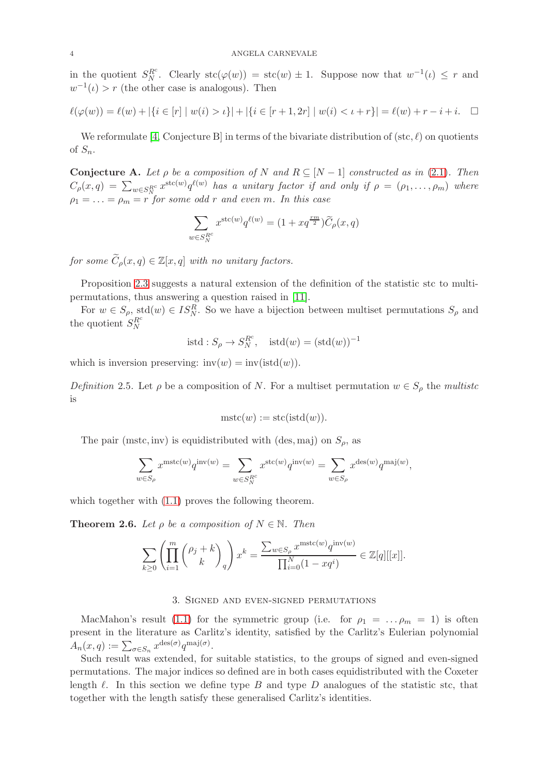in the quotient  $S_N^{R^c}$ . Clearly  $\operatorname{stc}(\varphi(w)) = \operatorname{stc}(w) \pm 1$ . Suppose now that  $w^{-1}(\iota) \leq r$  and  $w^{-1}(\iota) > r$  (the other case is analogous). Then

$$
\ell(\varphi(w)) = \ell(w) + |\{i \in [r] \mid w(i) > \iota\}| + |\{i \in [r+1, 2r] \mid w(i) < \iota + r\}| = \ell(w) + r - i + i. \quad \Box
$$

We reformulate [4, Conjecture B] in terms of the bivariate distribution of (stc,  $\ell$ ) on quotients of  $S_n$ .

**Conjecture A.** Let  $\rho$  be a composition of N and  $R \subseteq [N-1]$  constructed as in [\(2.1\)](#page-1-1). Then  $C_\rho(x,q) = \sum_{w \in S^{\text{Re}}_N} x^{\text{stc}(w)} q^{\ell(w)}$  has a unitary factor if and only if  $\rho = (\rho_1, \ldots, \rho_m)$  where  $\rho_1 = \ldots = \rho_m = r$  *for some odd r and even m. In this case* 

$$
\sum_{w \in S_N^{R^c}} x^{\text{stc}(w)} q^{\ell(w)} = (1 + x q^{\frac{rm}{2}}) \widetilde{C}_{\rho}(x, q)
$$

*for some*  $\widetilde{C}_\rho(x,q) \in \mathbb{Z}[x,q]$  *with no unitary factors.* 

Proposition [2.3](#page-2-2) suggests a natural extension of the definition of the statistic stc to multipermutations, thus answering a question raised in [11].

For  $w \in S_\rho$ , std $(w) \in IS_N^R$ . So we have a bijection between multiset permutations  $S_\rho$  and the quotient  $S_N^{R^c}$ 

$$
is\mathrm{td}: S_{\rho}\to S_N^{R^c}, \quad \mathrm{istd}(w)=(\mathrm{std}(w))^{-1}
$$

which is inversion preserving:  $inv(w) = inv(istd(w)).$ 

*Definition* 2.5. Let  $\rho$  be a composition of N. For a multiset permutation  $w \in S_\rho$  the *multistc* is

$$
mstc(w) := stc(\text{istd}(w)).
$$

The pair (mstc, inv) is equidistributed with (des, maj) on  $S_{\rho}$ , as

$$
\sum_{w\in S_\rho} x^{{\rm m} {\rm stc}(w)}q^{{\rm inv}(w)}=\sum_{w\in S_N^{R^c}} x^{{\rm stc}(w)}q^{{\rm inv}(w)}=\sum_{w\in S_\rho} x^{{\rm des}(w)}q^{{\rm maj}(w)},
$$

which together with  $(1.1)$  proves the following theorem.

**Theorem 2.6.** *Let*  $\rho$  *be a composition of*  $N \in \mathbb{N}$ *. Then* 

$$
\sum_{k\geq 0} \left( \prod_{i=1}^m \binom{\rho_j + k}{k}_q \right) x^k = \frac{\sum_{w \in S_\rho} x^{\text{mstc}(w)} q^{\text{inv}(w)}}{\prod_{i=0}^N (1 - xq^i)} \in \mathbb{Z}[q][[x]].
$$

## 3. Signed and even-signed permutations

MacMahon's result [\(1.1\)](#page-0-0) for the symmetric group (i.e. for  $\rho_1 = \ldots \rho_m = 1$ ) is often present in the literature as Carlitz's identity, satisfied by the Carlitz's Eulerian polynomial  $A_n(x,q) := \sum_{\sigma \in S_n} x^{\text{des}(\sigma)} q^{\text{maj}(\sigma)}.$ 

Such result was extended, for suitable statistics, to the groups of signed and even-signed permutations. The major indices so defined are in both cases equidistributed with the Coxeter length  $\ell$ . In this section we define type B and type D analogues of the statistic stc, that together with the length satisfy these generalised Carlitz's identities.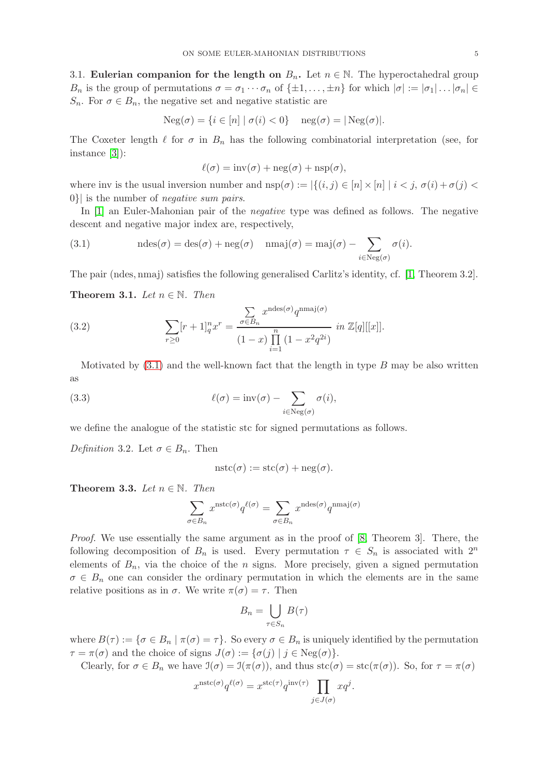3.1. Eulerian companion for the length on  $B_n$ . Let  $n \in \mathbb{N}$ . The hyperoctahedral group  $B_n$  is the group of permutations  $\sigma = \sigma_1 \cdots \sigma_n$  of  $\{\pm 1, \ldots, \pm n\}$  for which  $|\sigma| := |\sigma_1| \ldots |\sigma_n| \in$  $S_n$ . For  $\sigma \in B_n$ , the negative set and negative statistic are

$$
Neg(\sigma) = \{i \in [n] \mid \sigma(i) < 0\} \quad neg(\sigma) = \lfloor Neg(\sigma) \rfloor.
$$

The Coxeter length  $\ell$  for  $\sigma$  in  $B_n$  has the following combinatorial interpretation (see, for instance [3]):

$$
\ell(\sigma) = inv(\sigma) + neg(\sigma) + nsp(\sigma),
$$

where inv is the usual inversion number and  $nsp(\sigma) := |\{(i, j) \in [n] \times [n] \mid i < j, \sigma(i) + \sigma(j) < \sigma(j)\}|$ 0}| is the number of *negative sum pairs*.

In [1] an Euler-Mahonian pair of the *negative* type was defined as follows. The negative descent and negative major index are, respectively,

<span id="page-4-0"></span>(3.1) 
$$
\operatorname{ndes}(\sigma) = \operatorname{des}(\sigma) + \operatorname{neg}(\sigma) \quad \operatorname{nmaj}(\sigma) = \operatorname{maj}(\sigma) - \sum_{i \in \operatorname{Neg}(\sigma)} \sigma(i).
$$

The pair (ndes, nmaj) satisfies the following generalised Carlitz's identity, cf. [1, Theorem 3.2].

**Theorem 3.1.** *Let*  $n \in \mathbb{N}$ *. Then* 

(3.2) 
$$
\sum_{r\geq 0} [r+1]_q^n x^r = \frac{\sum_{\sigma \in B_n} x^{\text{ndes}(\sigma)} q^{\text{nmaj}(\sigma)}}{(1-x) \prod_{i=1}^n (1-x^2 q^{2i})} \text{ in } \mathbb{Z}[q][[x]].
$$

Motivated by  $(3.1)$  and the well-known fact that the length in type B may be also written as

(3.3) 
$$
\ell(\sigma) = inv(\sigma) - \sum_{i \in Neg(\sigma)} \sigma(i),
$$

we define the analogue of the statistic stc for signed permutations as follows.

*Definition* 3.2*.* Let  $\sigma \in B_n$ . Then

$$
nstc(\sigma) := stc(\sigma) + neg(\sigma).
$$

**Theorem 3.3.** *Let*  $n \in \mathbb{N}$ *. Then* 

$$
\sum_{\sigma \in B_n} x^{{\rm nstc}(\sigma)} q^{\ell(\sigma)} = \sum_{\sigma \in B_n} x^{{\rm ndes}(\sigma)} q^{{\rm nmaj}(\sigma)}
$$

*Proof.* We use essentially the same argument as in the proof of [8, Theorem 3]. There, the following decomposition of  $B_n$  is used. Every permutation  $\tau \in S_n$  is associated with  $2^n$ elements of  $B_n$ , via the choice of the n signs. More precisely, given a signed permutation  $\sigma \in B_n$  one can consider the ordinary permutation in which the elements are in the same relative positions as in  $\sigma$ . We write  $\pi(\sigma) = \tau$ . Then

$$
B_n = \bigcup_{\tau \in S_n} B(\tau)
$$

where  $B(\tau) := {\sigma \in B_n \mid \pi(\sigma) = \tau}$ . So every  $\sigma \in B_n$  is uniquely identified by the permutation  $\tau = \pi(\sigma)$  and the choice of signs  $J(\sigma) := {\sigma(j) | j \in \text{Neg}(\sigma)}.$ 

Clearly, for  $\sigma \in B_n$  we have  $\mathfrak{I}(\sigma) = \mathfrak{I}(\pi(\sigma))$ , and thus  $\text{stc}(\sigma) = \text{stc}(\pi(\sigma))$ . So, for  $\tau = \pi(\sigma)$ 

$$
x^{\text{nstc}(\sigma)}q^{\ell(\sigma)} = x^{\text{stc}(\tau)}q^{\text{inv}(\tau)}\prod_{j\in J(\sigma)}xq^j.
$$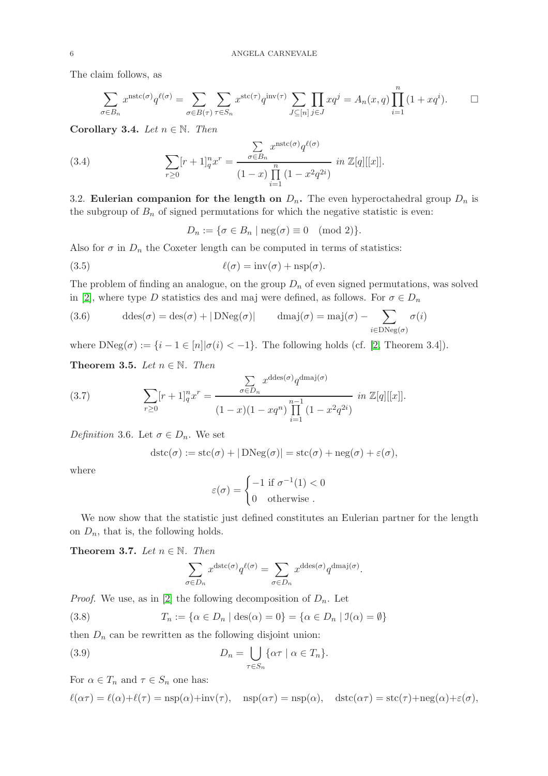The claim follows, as

$$
\sum_{\sigma \in B_n} x^{\text{nstc}(\sigma)} q^{\ell(\sigma)} = \sum_{\sigma \in B(\tau)} \sum_{\tau \in S_n} x^{\text{stc}(\tau)} q^{\text{inv}(\tau)} \sum_{J \subseteq [n]} \prod_{j \in J} x q^j = A_n(x, q) \prod_{i=1}^n (1 + x q^i).
$$

Corollary 3.4. *Let*  $n \in \mathbb{N}$ . *Then* 

(3.4) 
$$
\sum_{r\geq 0} [r+1]_q^n x^r = \frac{\sum_{\sigma \in B_n} x^{\text{nstc}(\sigma)} q^{\ell(\sigma)}}{(1-x) \prod_{i=1}^n (1-x^2 q^{2i})} \text{ in } \mathbb{Z}[q][[x]].
$$

3.2. Eulerian companion for the length on  $D_n$ . The even hyperoctahedral group  $D_n$  is the subgroup of  $B_n$  of signed permutations for which the negative statistic is even:

$$
D_n := \{ \sigma \in B_n \mid \text{neg}(\sigma) \equiv 0 \pmod{2} \}.
$$

Also for  $\sigma$  in  $D_n$  the Coxeter length can be computed in terms of statistics:

(3.5) 
$$
\ell(\sigma) = inv(\sigma) + nsp(\sigma).
$$

The problem of finding an analogue, on the group  $D_n$  of even signed permutations, was solved in [2], where type D statistics des and maj were defined, as follows. For  $\sigma \in D_n$ 

(3.6) 
$$
\text{ddes}(\sigma) = \text{des}(\sigma) + |\text{DNeg}(\sigma)| \qquad \text{dmaj}(\sigma) = \text{maj}(\sigma) - \sum_{i \in \text{DNeg}(\sigma)} \sigma(i)
$$

where  $DNeg(\sigma) := \{i - 1 \in [n] | \sigma(i) < -1\}$ . The following holds (cf. [2, Theorem 3.4]).

**Theorem 3.5.** *Let*  $n \in \mathbb{N}$ *. Then* 

(3.7) 
$$
\sum_{r\geq 0} [r+1]_q^n x^r = \frac{\sum_{\sigma \in D_n} x^{\text{ddes}(\sigma)} q^{\text{dmaj}(\sigma)}}{(1-x)(1-xq^n) \prod_{i=1}^{n-1} (1-x^2 q^{2i})} \text{ in } \mathbb{Z}[q][[x]].
$$

*Definition* 3.6*.* Let  $\sigma \in D_n$ . We set

$$
distc(\sigma) := stc(\sigma) + |DNeg(\sigma)| = stc(\sigma) + neg(\sigma) + \varepsilon(\sigma),
$$

where

$$
\varepsilon(\sigma) = \begin{cases} -1 \text{ if } \sigma^{-1}(1) < 0 \\ 0 \quad \text{otherwise} \end{cases}
$$

We now show that the statistic just defined constitutes an Eulerian partner for the length on  $D_n$ , that is, the following holds.

Theorem 3.7. *Let*  $n \in \mathbb{N}$ . *Then* 

<span id="page-5-0"></span>
$$
\sum_{\sigma \in D_n} x^{\text{dstc}(\sigma)} q^{\ell(\sigma)} = \sum_{\sigma \in D_n} x^{\text{ddes}(\sigma)} q^{\text{dmaj}(\sigma)}.
$$

*Proof.* We use, as in [2] the following decomposition of  $D_n$ . Let

(3.8) 
$$
T_n := \{ \alpha \in D_n \mid \text{des}(\alpha) = 0 \} = \{ \alpha \in D_n \mid \mathfrak{I}(\alpha) = \emptyset \}
$$

then  $D_n$  can be rewritten as the following disjoint union:

(3.9) 
$$
D_n = \bigcup_{\tau \in S_n} \{ \alpha \tau \mid \alpha \in T_n \}.
$$

For  $\alpha \in T_n$  and  $\tau \in S_n$  one has:

$$
\ell(\alpha \tau) = \ell(\alpha) + \ell(\tau) = \text{nsp}(\alpha) + \text{inv}(\tau), \quad \text{nsp}(\alpha \tau) = \text{nsp}(\alpha), \quad \text{dstc}(\alpha \tau) = \text{stc}(\tau) + \text{neg}(\alpha) + \varepsilon(\sigma),
$$